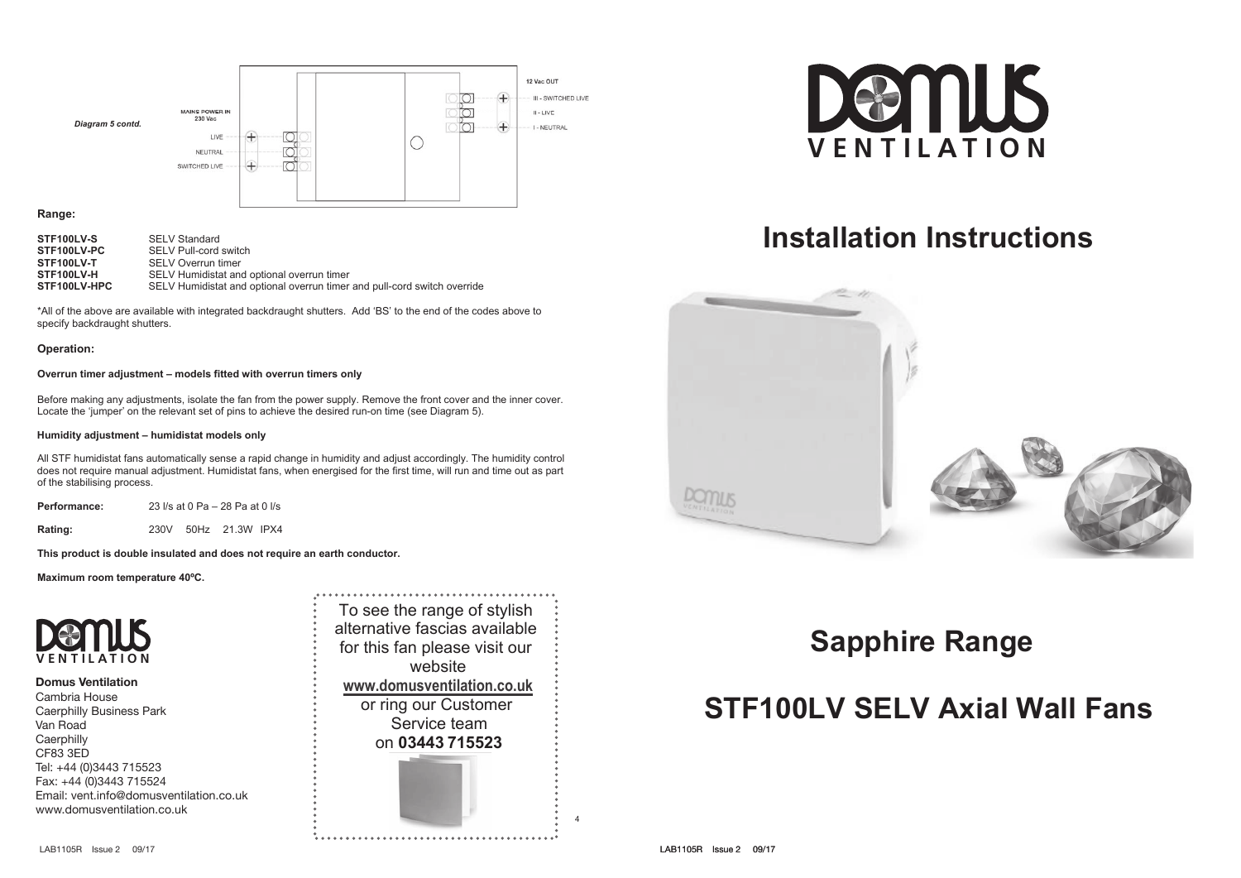

## **Range:**

| STF100LV-S   | <b>SELV Standard</b>                                                     |
|--------------|--------------------------------------------------------------------------|
| STF100LV-PC  | SELV Pull-cord switch                                                    |
| STF100LV-T   | <b>SELV Overrun timer</b>                                                |
| STF100LV-H   | SELV Humidistat and optional overrun timer                               |
| STF100LV-HPC | SELV Humidistat and optional overrun timer and pull-cord switch override |

\*All of the above are available with integrated backdraught shutters. Add 'BS' to the end of the codes above to specify backdraught shutters.

### **Operation:**

### **Overrun timer adjustment – models fitted with overrun timers only**

Before making any adjustments, isolate the fan from the power supply. Remove the front cover and the inner cover. Locate the 'jumper' on the relevant set of pins to achieve the desired run-on time (see Diagram 5).

#### **Humidity adjustment – humidistat models only**

All STF humidistat fans automatically sense a rapid change in humidity and adjust accordingly. The humidity control does not require manual adjustment. Humidistat fans, when energised for the first time, will run and time out as part of the stabilising process.

**Performance:** 23 l/s at 0 Pa – 28 Pa at 0 l/s

**Rating:** 230V 50Hz 21.3W IPX4

**This product is double insulated and does not require an earth conductor.** 

**Maximum room temperature 40ºC.** 



### **Domus Ventilation**

Cambria House Caerphilly Business Park Van Road **Caerphilly** CF83 3ED Tel: +44 (0)3443 715523 Fax: +44 (0)3443 715524 Email: vent.info@domusventilation.co.uk www.domusventilation.co.uk

To see the range of stylish alternative fascias available for this fan please visit our website **www.domusventilation.co.uk** or ring our Customer Service team on **03443 715523** 



# **Installation Instructions Installation Instructions**



## **Domus Sapphire Range Sapphire Range**

# **STF100LV SELV Axial Wall Fans STF100LV SELV Axial Wall Fans**

4